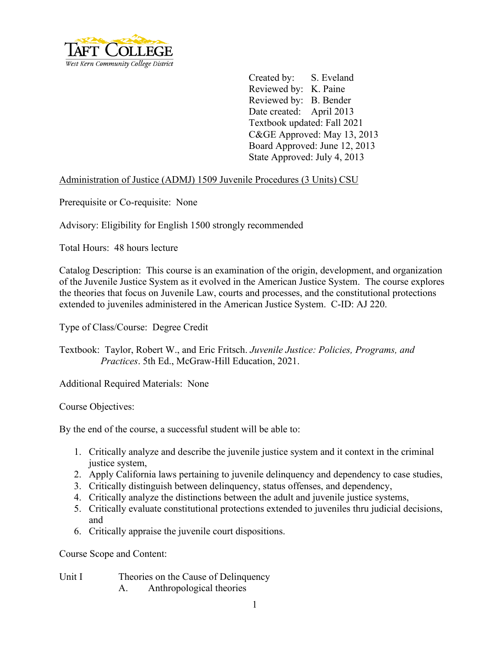

Created by: S. Eveland Reviewed by: K. Paine Reviewed by: B. Bender Date created: April 2013 Textbook updated: Fall 2021 C&GE Approved: May 13, 2013 Board Approved: June 12, 2013 State Approved: July 4, 2013

## Administration of Justice (ADMJ) 1509 Juvenile Procedures (3 Units) CSU

Prerequisite or Co-requisite: None

Advisory: Eligibility for English 1500 strongly recommended

Total Hours: 48 hours lecture

Catalog Description: This course is an examination of the origin, development, and organization of the Juvenile Justice System as it evolved in the American Justice System. The course explores the theories that focus on Juvenile Law, courts and processes, and the constitutional protections extended to juveniles administered in the American Justice System. C-ID: AJ 220.

Type of Class/Course: Degree Credit

Textbook: Taylor, Robert W., and Eric Fritsch. *Juvenile Justice: Policies, Programs, and Practices*. 5th Ed., McGraw-Hill Education, 2021.

Additional Required Materials: None

Course Objectives:

By the end of the course, a successful student will be able to:

- 1. Critically analyze and describe the juvenile justice system and it context in the criminal justice system,
- 2. Apply California laws pertaining to juvenile delinquency and dependency to case studies,
- 3. Critically distinguish between delinquency, status offenses, and dependency,
- 4. Critically analyze the distinctions between the adult and juvenile justice systems,
- 5. Critically evaluate constitutional protections extended to juveniles thru judicial decisions, and
- 6. Critically appraise the juvenile court dispositions.

Course Scope and Content:

Unit I Theories on the Cause of Delinquency

A. Anthropological theories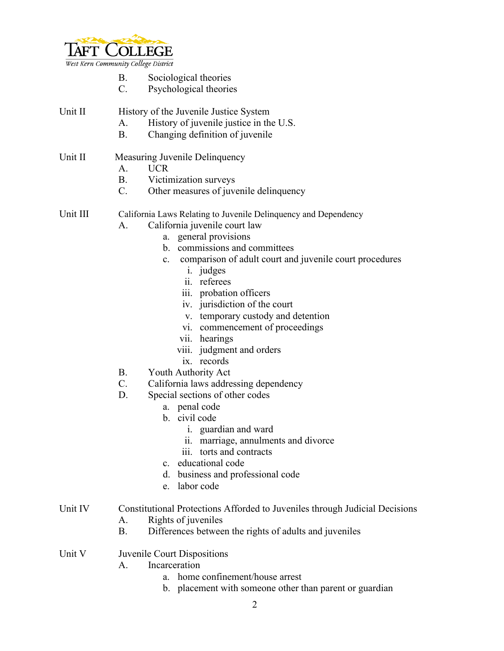

West Kern Community College District

- B. Sociological theories
- C. Psychological theories
- Unit II History of the Juvenile Justice System
	- A. History of juvenile justice in the U.S.
	- B. Changing definition of juvenile

## Unit II Measuring Juvenile Delinquency

- A. UCR
- B. Victimization surveys
- C. Other measures of juvenile delinquency

Unit III California Laws Relating to Juvenile Delinquency and Dependency

- A. California juvenile court law
	- a. general provisions
	- b. commissions and committees
	- c. comparison of adult court and juvenile court procedures
		- i. judges
		- ii. referees
		- iii. probation officers
		- iv. jurisdiction of the court
		- v. temporary custody and detention
		- vi. commencement of proceedings
		- vii. hearings
		- viii. judgment and orders
		- ix. records
- B. Youth Authority Act
- C. California laws addressing dependency
- D. Special sections of other codes
	- a. penal code
	- b. civil code
		- i. guardian and ward
		- ii. marriage, annulments and divorce
		- iii. torts and contracts
	- c. educational code
	- d. business and professional code
	- e. labor code
- Unit IV Constitutional Protections Afforded to Juveniles through Judicial Decisions
	- A. Rights of juveniles
	- B. Differences between the rights of adults and juveniles
- Unit V Juvenile Court Dispositions
	- A. Incarceration
		- a. home confinement/house arrest
		- b. placement with someone other than parent or guardian